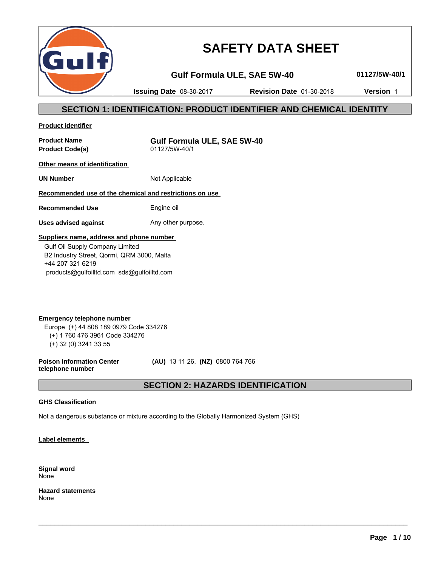

# **SAFETY DATA SHEET**

**Gulf Formula ULE, SAE 5W-40 01127/5W-40/1**

**Issuing Date** 08-30-2017 **Revision Date** 01-30-2018 **Version** 1

# **SECTION 1: IDENTIFICATION: PRODUCT IDENTIFIER AND CHEMICAL IDENTITY**

**Product identifier**

**Product Code(s)** 

**Product Name**<br> **Product Code(s)**<br>  $01127/5W-40/1$ <br> **COLLACTE:** COMPTED: 01127/5W-40/1

**Other means of identification** 

**UN Number** Not Applicable

# **Recommended use of the chemical and restrictions on use**

**Recommended Use** Engine oil

**Uses advised against** Any other purpose.

# **Suppliers name, address and phone number**

 Gulf Oil Supply Company Limited B2 Industry Street, Qormi, QRM 3000, Malta +44 207 321 6219 products@gulfoilltd.com sds@gulfoilltd.com

**Emergency telephone number**  Europe (+) 44 808 189 0979 Code 334276 (+) 1 760 476 3961 Code 334276 (+) 32 (0) 3241 33 55

**Poison Information Center telephone number**

 **(AU)** 13 11 26, **(NZ)** 0800 764 766

# **SECTION 2: HAZARDS IDENTIFICATION**

 $\_$  ,  $\_$  ,  $\_$  ,  $\_$  ,  $\_$  ,  $\_$  ,  $\_$  ,  $\_$  ,  $\_$  ,  $\_$  ,  $\_$  ,  $\_$  ,  $\_$  ,  $\_$  ,  $\_$  ,  $\_$  ,  $\_$  ,  $\_$  ,  $\_$  ,  $\_$  ,  $\_$  ,  $\_$  ,  $\_$  ,  $\_$  ,  $\_$  ,  $\_$  ,  $\_$  ,  $\_$  ,  $\_$  ,  $\_$  ,  $\_$  ,  $\_$  ,  $\_$  ,  $\_$  ,  $\_$  ,  $\_$  ,  $\_$  ,

# **GHS Classification**

Not a dangerous substance or mixture according to the Globally Harmonized System (GHS)

**Label elements** 

**Signal word** None

**Hazard statements** None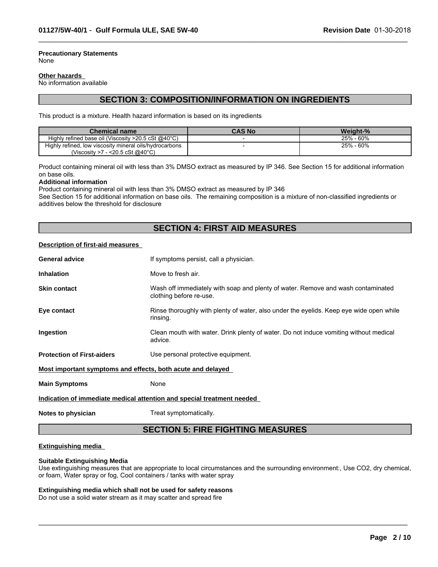#### **Precautionary Statements** None

#### **Other hazards**

No information available

# **SECTION 3: COMPOSITION/INFORMATION ON INGREDIENTS**

 $\_$  ,  $\_$  ,  $\_$  ,  $\_$  ,  $\_$  ,  $\_$  ,  $\_$  ,  $\_$  ,  $\_$  ,  $\_$  ,  $\_$  ,  $\_$  ,  $\_$  ,  $\_$  ,  $\_$  ,  $\_$  ,  $\_$  ,  $\_$  ,  $\_$  ,  $\_$  ,  $\_$  ,  $\_$  ,  $\_$  ,  $\_$  ,  $\_$  ,  $\_$  ,  $\_$  ,  $\_$  ,  $\_$  ,  $\_$  ,  $\_$  ,  $\_$  ,  $\_$  ,  $\_$  ,  $\_$  ,  $\_$  ,  $\_$  ,

This product is a mixture. Health hazard information is based on its ingredients

| <b>Chemical name</b>                                             | <b>CAS No</b> | Weight-%         |
|------------------------------------------------------------------|---------------|------------------|
| Highly refined base oil (Viscosity $>20.5$ cSt @40 $^{\circ}$ C) |               | .60%<br>25% -    |
| Highly refined, low viscosity mineral oils/hydrocarbons          |               | - 60%<br>$25% -$ |
| $-$ <20.5 cSt @40°C)<br>(Viscosity >7                            |               |                  |

Product containing mineral oil with less than 3% DMSO extract as measured by IP 346. See Section 15 for additional information on base oils.

#### **Additional information**

Product containing mineral oil with less than 3% DMSO extract as measured by IP 346

See Section 15 for additional information on base oils. The remaining composition is a mixture of non-classified ingredients or additives below the threshold for disclosure

# **SECTION 4: FIRST AID MEASURES**

# **Description of first-aid measures**

| <b>General advice</b>                                                  | If symptoms persist, call a physician.                                                                      |  |
|------------------------------------------------------------------------|-------------------------------------------------------------------------------------------------------------|--|
| <b>Inhalation</b>                                                      | Move to fresh air.                                                                                          |  |
| <b>Skin contact</b>                                                    | Wash off immediately with soap and plenty of water. Remove and wash contaminated<br>clothing before re-use. |  |
| Eye contact                                                            | Rinse thoroughly with plenty of water, also under the eyelids. Keep eye wide open while<br>rinsing.         |  |
| Ingestion                                                              | Clean mouth with water. Drink plenty of water. Do not induce vomiting without medical<br>advice.            |  |
| <b>Protection of First-aiders</b>                                      | Use personal protective equipment.                                                                          |  |
| <u>Most important symptoms and effects, both acute and delayed</u>     |                                                                                                             |  |
| <b>Main Symptoms</b>                                                   | None                                                                                                        |  |
| Indication of immediate medical attention and special treatment needed |                                                                                                             |  |
| Notes to physician                                                     | Treat symptomatically.                                                                                      |  |

# **SECTION 5: FIRE FIGHTING MEASURES**

#### **Extinguishing media**

#### **Suitable Extinguishing Media**

Use extinguishing measures that are appropriate to local circumstances and the surrounding environment:, Use CO2, dry chemical, or foam, Water spray or fog, Cool containers / tanks with water spray

 $\_$  ,  $\_$  ,  $\_$  ,  $\_$  ,  $\_$  ,  $\_$  ,  $\_$  ,  $\_$  ,  $\_$  ,  $\_$  ,  $\_$  ,  $\_$  ,  $\_$  ,  $\_$  ,  $\_$  ,  $\_$  ,  $\_$  ,  $\_$  ,  $\_$  ,  $\_$  ,  $\_$  ,  $\_$  ,  $\_$  ,  $\_$  ,  $\_$  ,  $\_$  ,  $\_$  ,  $\_$  ,  $\_$  ,  $\_$  ,  $\_$  ,  $\_$  ,  $\_$  ,  $\_$  ,  $\_$  ,  $\_$  ,  $\_$  ,

#### **Extinguishing media which shall not be used for safety reasons**

Do not use a solid water stream as it may scatter and spread fire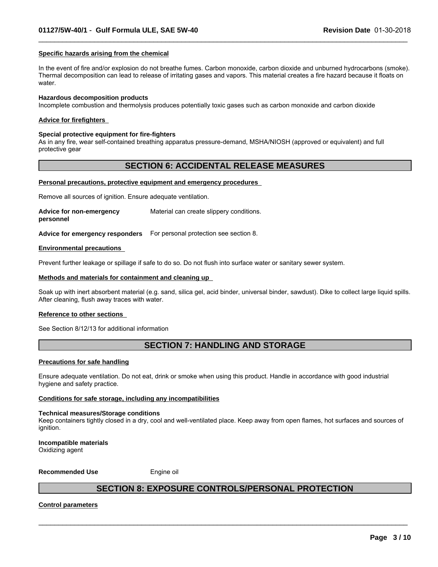#### **Specific hazards arising from the chemical**

In the event of fire and/or explosion do not breathe fumes. Carbon monoxide, carbon dioxide and unburned hydrocarbons (smoke). Thermal decomposition can lead to release of irritating gases and vapors. This material creates a fire hazard because it floats on water.

 $\_$  ,  $\_$  ,  $\_$  ,  $\_$  ,  $\_$  ,  $\_$  ,  $\_$  ,  $\_$  ,  $\_$  ,  $\_$  ,  $\_$  ,  $\_$  ,  $\_$  ,  $\_$  ,  $\_$  ,  $\_$  ,  $\_$  ,  $\_$  ,  $\_$  ,  $\_$  ,  $\_$  ,  $\_$  ,  $\_$  ,  $\_$  ,  $\_$  ,  $\_$  ,  $\_$  ,  $\_$  ,  $\_$  ,  $\_$  ,  $\_$  ,  $\_$  ,  $\_$  ,  $\_$  ,  $\_$  ,  $\_$  ,  $\_$  ,

#### **Hazardous decomposition products**

Incomplete combustion and thermolysis produces potentially toxic gases such as carbon monoxide and carbon dioxide

#### **Advice for firefighters**

#### **Special protective equipment for fire-fighters**

As in any fire, wear self-contained breathing apparatus pressure-demand, MSHA/NIOSH (approved or equivalent) and full protective gear

# **SECTION 6: ACCIDENTAL RELEASE MEASURES**

#### **Personal precautions, protective equipment and emergency procedures**

Remove all sources of ignition. Ensure adequate ventilation.

| Advice for non-emergency | Material can create slippery conditions. |
|--------------------------|------------------------------------------|
| personnel                |                                          |

**Advice for emergency responders** For personal protection see section 8.

#### **Environmental precautions**

Prevent further leakage or spillage if safe to do so. Do not flush into surface water or sanitary sewer system.

#### **Methods and materials for containment and cleaning up**

Soak up with inert absorbent material (e.g. sand, silica gel, acid binder, universal binder, sawdust). Dike to collect large liquid spills. After cleaning, flush away traces with water.

#### **Reference to other sections**

See Section 8/12/13 for additional information

# **SECTION 7: HANDLING AND STORAGE**

#### **Precautions for safe handling**

Ensure adequate ventilation. Do not eat, drink or smoke when using this product. Handle in accordance with good industrial hygiene and safety practice.

#### **Conditions for safe storage, including any incompatibilities**

#### **Technical measures/Storage conditions**

Keep containers tightly closed in a dry, cool and well-ventilated place. Keep away from open flames, hot surfaces and sources of ianition.

#### **Incompatible materials** Oxidizing agent

#### **Recommended Use** Engine oil

# **SECTION 8: EXPOSURE CONTROLS/PERSONAL PROTECTION**

 $\_$  ,  $\_$  ,  $\_$  ,  $\_$  ,  $\_$  ,  $\_$  ,  $\_$  ,  $\_$  ,  $\_$  ,  $\_$  ,  $\_$  ,  $\_$  ,  $\_$  ,  $\_$  ,  $\_$  ,  $\_$  ,  $\_$  ,  $\_$  ,  $\_$  ,  $\_$  ,  $\_$  ,  $\_$  ,  $\_$  ,  $\_$  ,  $\_$  ,  $\_$  ,  $\_$  ,  $\_$  ,  $\_$  ,  $\_$  ,  $\_$  ,  $\_$  ,  $\_$  ,  $\_$  ,  $\_$  ,  $\_$  ,  $\_$  ,

#### **Control parameters**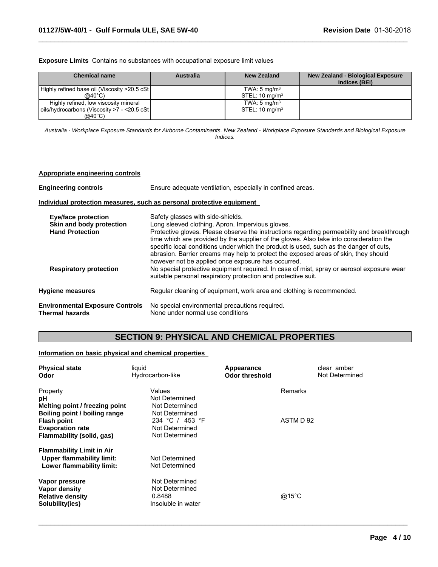**Exposure Limits** Contains no substances with occupational exposure limit values

| <b>Chemical name</b>                          | <b>Australia</b> | New Zealand               | New Zealand - Biological Exposure<br>Indices (BEI) |
|-----------------------------------------------|------------------|---------------------------|----------------------------------------------------|
| Highly refined base oil (Viscosity >20.5 cSt) |                  | TWA: $5 \text{ mg/m}^3$   |                                                    |
| @40°C)                                        |                  | STEL: $10 \text{ mg/m}^3$ |                                                    |
| Highly refined, low viscosity mineral         |                  | TWA: $5 \text{ mg/m}^3$   |                                                    |
| oils/hydrocarbons (Viscosity >7 - <20.5 cSt   |                  | STEL: $10 \text{ mg/m}^3$ |                                                    |
| @40°C)                                        |                  |                           |                                                    |

 $\_$  ,  $\_$  ,  $\_$  ,  $\_$  ,  $\_$  ,  $\_$  ,  $\_$  ,  $\_$  ,  $\_$  ,  $\_$  ,  $\_$  ,  $\_$  ,  $\_$  ,  $\_$  ,  $\_$  ,  $\_$  ,  $\_$  ,  $\_$  ,  $\_$  ,  $\_$  ,  $\_$  ,  $\_$  ,  $\_$  ,  $\_$  ,  $\_$  ,  $\_$  ,  $\_$  ,  $\_$  ,  $\_$  ,  $\_$  ,  $\_$  ,  $\_$  ,  $\_$  ,  $\_$  ,  $\_$  ,  $\_$  ,  $\_$  ,

*Australia - Workplace Exposure Standards for Airborne Contaminants. New Zealand - Workplace Exposure Standards and Biological Exposure Indices.*

# **Appropriate engineering controls**

| <b>Engineering controls</b>                                                                                       | Ensure adequate ventilation, especially in confined areas.                                                                                                                                                                                                                                                                                                                                                                                                                                                                                                                                                         |  |  |
|-------------------------------------------------------------------------------------------------------------------|--------------------------------------------------------------------------------------------------------------------------------------------------------------------------------------------------------------------------------------------------------------------------------------------------------------------------------------------------------------------------------------------------------------------------------------------------------------------------------------------------------------------------------------------------------------------------------------------------------------------|--|--|
|                                                                                                                   | Individual protection measures, such as personal protective equipment                                                                                                                                                                                                                                                                                                                                                                                                                                                                                                                                              |  |  |
| <b>Eye/face protection</b><br>Skin and body protection<br><b>Hand Protection</b><br><b>Respiratory protection</b> | Safety glasses with side-shields.<br>Long sleeved clothing. Apron. Impervious gloves.<br>Protective gloves. Please observe the instructions regarding permeability and breakthrough<br>time which are provided by the supplier of the gloves. Also take into consideration the<br>specific local conditions under which the product is used, such as the danger of cuts,<br>abrasion. Barrier creams may help to protect the exposed areas of skin, they should<br>however not be applied once exposure has occurred.<br>No special protective equipment required. In case of mist, spray or aerosol exposure wear |  |  |
|                                                                                                                   | suitable personal respiratory protection and protective suit.                                                                                                                                                                                                                                                                                                                                                                                                                                                                                                                                                      |  |  |
| <b>Hygiene measures</b>                                                                                           | Regular cleaning of equipment, work area and clothing is recommended.                                                                                                                                                                                                                                                                                                                                                                                                                                                                                                                                              |  |  |
| <b>Environmental Exposure Controls</b><br><b>Thermal hazards</b>                                                  | No special environmental precautions required.<br>None under normal use conditions                                                                                                                                                                                                                                                                                                                                                                                                                                                                                                                                 |  |  |

# **SECTION 9: PHYSICAL AND CHEMICAL PROPERTIES**

# **Information on basic physical and chemical properties**

| liquid                         | Appearance     | clear amber     |
|--------------------------------|----------------|-----------------|
| Hydrocarbon-like               | Odor threshold | Not Determined  |
| Values                         |                | Remarks         |
| Not Determined                 |                |                 |
| Not Determined                 |                |                 |
| Not Determined                 |                |                 |
| 234 °C / 453 °F                |                | ASTM D 92       |
| Not Determined                 |                |                 |
| Not Determined                 |                |                 |
|                                |                |                 |
| Not Determined                 |                |                 |
| Not Determined                 |                |                 |
|                                |                |                 |
| Not Determined                 |                |                 |
| 0.8488                         |                | $@15^{\circ}$ C |
| Insoluble in water             |                |                 |
| Melting point / freezing point | Not Determined |                 |

 $\_$  ,  $\_$  ,  $\_$  ,  $\_$  ,  $\_$  ,  $\_$  ,  $\_$  ,  $\_$  ,  $\_$  ,  $\_$  ,  $\_$  ,  $\_$  ,  $\_$  ,  $\_$  ,  $\_$  ,  $\_$  ,  $\_$  ,  $\_$  ,  $\_$  ,  $\_$  ,  $\_$  ,  $\_$  ,  $\_$  ,  $\_$  ,  $\_$  ,  $\_$  ,  $\_$  ,  $\_$  ,  $\_$  ,  $\_$  ,  $\_$  ,  $\_$  ,  $\_$  ,  $\_$  ,  $\_$  ,  $\_$  ,  $\_$  ,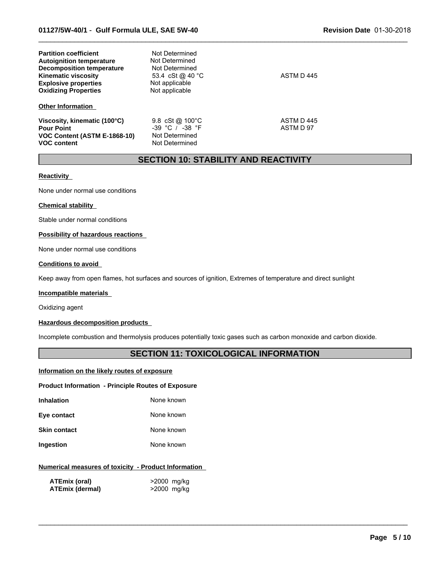| <b>Partition coefficient</b><br><b>Autoignition temperature</b><br><b>Decomposition temperature</b><br><b>Kinematic viscosity</b><br><b>Explosive properties</b><br><b>Oxidizing Properties</b> | Not Determined<br>Not Determined<br>Not Determined<br>53.4 cSt @ 40 °C<br>Not applicable<br>Not applicable | ASTM D 445              |
|-------------------------------------------------------------------------------------------------------------------------------------------------------------------------------------------------|------------------------------------------------------------------------------------------------------------|-------------------------|
| <b>Other Information</b>                                                                                                                                                                        |                                                                                                            |                         |
| Viscosity, kinematic (100°C)<br><b>Pour Point</b><br>VOC Content (ASTM E-1868-10)<br><b>VOC content</b>                                                                                         | 9.8 $cSt@100°C$<br>$-39$ °C / $-38$ °F<br>Not Determined<br>Not Determined                                 | ASTM D 445<br>ASTM D 97 |

# **SECTION 10: STABILITY AND REACTIVITY**

 $\_$  ,  $\_$  ,  $\_$  ,  $\_$  ,  $\_$  ,  $\_$  ,  $\_$  ,  $\_$  ,  $\_$  ,  $\_$  ,  $\_$  ,  $\_$  ,  $\_$  ,  $\_$  ,  $\_$  ,  $\_$  ,  $\_$  ,  $\_$  ,  $\_$  ,  $\_$  ,  $\_$  ,  $\_$  ,  $\_$  ,  $\_$  ,  $\_$  ,  $\_$  ,  $\_$  ,  $\_$  ,  $\_$  ,  $\_$  ,  $\_$  ,  $\_$  ,  $\_$  ,  $\_$  ,  $\_$  ,  $\_$  ,  $\_$  ,

# **Reactivity**

None under normal use conditions

### **Chemical stability**

Stable under normal conditions

### **Possibility of hazardous reactions**

None under normal use conditions

## **Conditions to avoid**

Keep away from open flames, hot surfaces and sources of ignition, Extremes of temperature and direct sunlight

#### **Incompatible materials**

Oxidizing agent

## **Hazardous decomposition products**

Incomplete combustion and thermolysis produces potentially toxic gases such as carbon monoxide and carbon dioxide.

# **SECTION 11: TOXICOLOGICAL INFORMATION**

 $\_$  ,  $\_$  ,  $\_$  ,  $\_$  ,  $\_$  ,  $\_$  ,  $\_$  ,  $\_$  ,  $\_$  ,  $\_$  ,  $\_$  ,  $\_$  ,  $\_$  ,  $\_$  ,  $\_$  ,  $\_$  ,  $\_$  ,  $\_$  ,  $\_$  ,  $\_$  ,  $\_$  ,  $\_$  ,  $\_$  ,  $\_$  ,  $\_$  ,  $\_$  ,  $\_$  ,  $\_$  ,  $\_$  ,  $\_$  ,  $\_$  ,  $\_$  ,  $\_$  ,  $\_$  ,  $\_$  ,  $\_$  ,  $\_$  ,

# **Information on the likely routes of exposure**

#### **Product Information - Principle Routes of Exposure**

| Inhalation | None known |
|------------|------------|

| Eye contact | None known |
|-------------|------------|
|             |            |

**Skin contact** None known

**Ingestion** None known

## **Numerical measures of toxicity - Product Information**

| ATEmix (oral)          | >2000 mg/kg |
|------------------------|-------------|
| <b>ATEmix (dermal)</b> | >2000 mg/kg |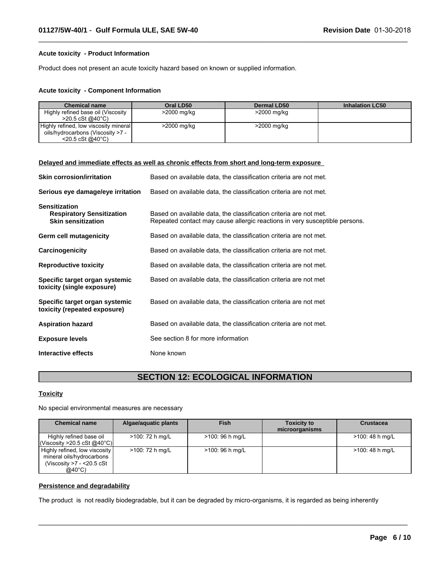## **Acute toxicity - Product Information**

Product does not present an acute toxicity hazard based on known or supplied information.

#### **Acute toxicity - Component Information**

| <b>Chemical name</b>                  | Oral LD50   | <b>Dermal LD50</b> | <b>Inhalation LC50</b> |
|---------------------------------------|-------------|--------------------|------------------------|
| Highly refined base oil (Viscosity    | >2000 mg/kg | >2000 mg/kg        |                        |
| $>$ 20.5 cSt @40°C)                   |             |                    |                        |
| Highly refined, low viscosity mineral | >2000 mg/kg | >2000 mg/kg        |                        |
| oils/hydrocarbons (Viscosity >7 -     |             |                    |                        |
| $<$ 20.5 cSt @40 $^{\circ}$ C)        |             |                    |                        |

 $\_$  ,  $\_$  ,  $\_$  ,  $\_$  ,  $\_$  ,  $\_$  ,  $\_$  ,  $\_$  ,  $\_$  ,  $\_$  ,  $\_$  ,  $\_$  ,  $\_$  ,  $\_$  ,  $\_$  ,  $\_$  ,  $\_$  ,  $\_$  ,  $\_$  ,  $\_$  ,  $\_$  ,  $\_$  ,  $\_$  ,  $\_$  ,  $\_$  ,  $\_$  ,  $\_$  ,  $\_$  ,  $\_$  ,  $\_$  ,  $\_$  ,  $\_$  ,  $\_$  ,  $\_$  ,  $\_$  ,  $\_$  ,  $\_$  ,

|                                                                                       | Delayed and immediate effects as well as chronic effects from short and long-term exposure                                                      |
|---------------------------------------------------------------------------------------|-------------------------------------------------------------------------------------------------------------------------------------------------|
| <b>Skin corrosion/irritation</b>                                                      | Based on available data, the classification criteria are not met.                                                                               |
| Serious eye damage/eye irritation                                                     | Based on available data, the classification criteria are not met.                                                                               |
| <b>Sensitization</b><br><b>Respiratory Sensitization</b><br><b>Skin sensitization</b> | Based on available data, the classification criteria are not met.<br>Repeated contact may cause allergic reactions in very susceptible persons. |
| Germ cell mutagenicity                                                                | Based on available data, the classification criteria are not met.                                                                               |
| Carcinogenicity                                                                       | Based on available data, the classification criteria are not met.                                                                               |
| <b>Reproductive toxicity</b>                                                          | Based on available data, the classification criteria are not met.                                                                               |
| Specific target organ systemic<br>toxicity (single exposure)                          | Based on available data, the classification criteria are not met                                                                                |
| Specific target organ systemic<br>toxicity (repeated exposure)                        | Based on available data, the classification criteria are not met                                                                                |
| <b>Aspiration hazard</b>                                                              | Based on available data, the classification criteria are not met.                                                                               |
| <b>Exposure levels</b>                                                                | See section 8 for more information                                                                                                              |
| Interactive effects                                                                   | None known                                                                                                                                      |

# **SECTION 12: ECOLOGICAL INFORMATION**

# **Toxicity**

No special environmental measures are necessary

| <b>Chemical name</b>                                                                              | Algae/aquatic plants | <b>Fish</b>      | <b>Toxicity to</b><br>microorganisms | <b>Crustacea</b> |
|---------------------------------------------------------------------------------------------------|----------------------|------------------|--------------------------------------|------------------|
| Highly refined base oil<br> Viscosity > 20.5 cSt @40°C                                            | >100: 72 h mg/L      | >100: 96 h mg/L  |                                      | >100: 48 h mg/L  |
| Highly refined, low viscosity<br>mineral oils/hydrocarbons<br>(Viscosity >7 - <20.5 cSt<br>@40°C) | >100: 72 h mg/L      | $>100:96$ h mg/L |                                      | >100: 48 h mg/L  |

 $\_$  ,  $\_$  ,  $\_$  ,  $\_$  ,  $\_$  ,  $\_$  ,  $\_$  ,  $\_$  ,  $\_$  ,  $\_$  ,  $\_$  ,  $\_$  ,  $\_$  ,  $\_$  ,  $\_$  ,  $\_$  ,  $\_$  ,  $\_$  ,  $\_$  ,  $\_$  ,  $\_$  ,  $\_$  ,  $\_$  ,  $\_$  ,  $\_$  ,  $\_$  ,  $\_$  ,  $\_$  ,  $\_$  ,  $\_$  ,  $\_$  ,  $\_$  ,  $\_$  ,  $\_$  ,  $\_$  ,  $\_$  ,  $\_$  ,

### **Persistence and degradability**

The product is not readily biodegradable, but it can be degraded by micro-organisms, it is regarded as being inherently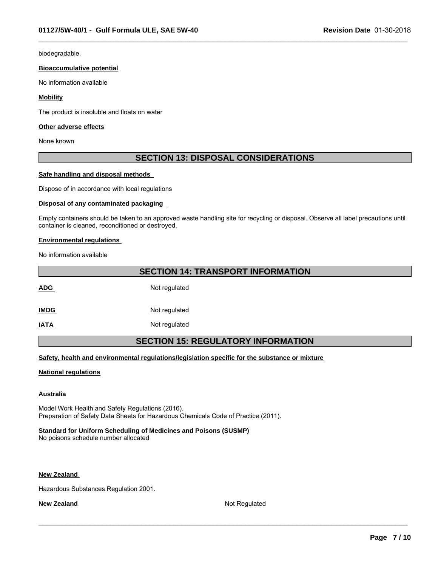biodegradable.

#### **Bioaccumulative potential**

No information available

### **Mobility**

The product is insoluble and floats on water

#### **Other adverse effects**

None known

# **SECTION 13: DISPOSAL CONSIDERATIONS**

 $\_$  ,  $\_$  ,  $\_$  ,  $\_$  ,  $\_$  ,  $\_$  ,  $\_$  ,  $\_$  ,  $\_$  ,  $\_$  ,  $\_$  ,  $\_$  ,  $\_$  ,  $\_$  ,  $\_$  ,  $\_$  ,  $\_$  ,  $\_$  ,  $\_$  ,  $\_$  ,  $\_$  ,  $\_$  ,  $\_$  ,  $\_$  ,  $\_$  ,  $\_$  ,  $\_$  ,  $\_$  ,  $\_$  ,  $\_$  ,  $\_$  ,  $\_$  ,  $\_$  ,  $\_$  ,  $\_$  ,  $\_$  ,  $\_$  ,

### **Safe handling and disposal methods**

Dispose of in accordance with local regulations

#### **Disposal of any contaminated packaging**

Empty containers should be taken to an approved waste handling site for recycling or disposal. Observe all label precautions until container is cleaned, reconditioned or destroyed.

### **Environmental regulations**

No information available

| <b>SECTION 14: TRANSPORT INFORMATION</b>  |  |  |  |
|-------------------------------------------|--|--|--|
| Not regulated                             |  |  |  |
| Not regulated                             |  |  |  |
| Not regulated                             |  |  |  |
| <b>SECTION 15: REGULATORY INFORMATION</b> |  |  |  |
|                                           |  |  |  |

**Safety, health and environmental regulations/legislation specific for the substance or mixture**

### **National regulations**

#### **Australia**

Model Work Health and Safety Regulations (2016). Preparation of Safety Data Sheets for Hazardous Chemicals Code of Practice (2011).

# **Standard for Uniform Scheduling of Medicines and Poisons (SUSMP)**

No poisons schedule number allocated

#### **New Zealand**

Hazardous Substances Regulation 2001.

**New Zealand** Not Regulated

 $\_$  ,  $\_$  ,  $\_$  ,  $\_$  ,  $\_$  ,  $\_$  ,  $\_$  ,  $\_$  ,  $\_$  ,  $\_$  ,  $\_$  ,  $\_$  ,  $\_$  ,  $\_$  ,  $\_$  ,  $\_$  ,  $\_$  ,  $\_$  ,  $\_$  ,  $\_$  ,  $\_$  ,  $\_$  ,  $\_$  ,  $\_$  ,  $\_$  ,  $\_$  ,  $\_$  ,  $\_$  ,  $\_$  ,  $\_$  ,  $\_$  ,  $\_$  ,  $\_$  ,  $\_$  ,  $\_$  ,  $\_$  ,  $\_$  ,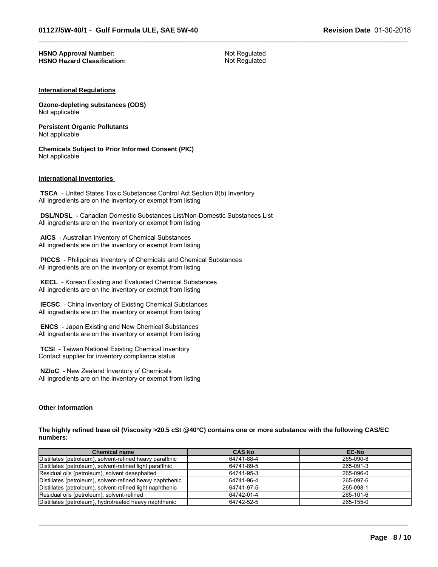#### **HSNO Approval Number:** Not Regulated<br> **HSNO Hazard Classification:** Not Regulated **HSNO Hazard Classification:**

 $\_$  ,  $\_$  ,  $\_$  ,  $\_$  ,  $\_$  ,  $\_$  ,  $\_$  ,  $\_$  ,  $\_$  ,  $\_$  ,  $\_$  ,  $\_$  ,  $\_$  ,  $\_$  ,  $\_$  ,  $\_$  ,  $\_$  ,  $\_$  ,  $\_$  ,  $\_$  ,  $\_$  ,  $\_$  ,  $\_$  ,  $\_$  ,  $\_$  ,  $\_$  ,  $\_$  ,  $\_$  ,  $\_$  ,  $\_$  ,  $\_$  ,  $\_$  ,  $\_$  ,  $\_$  ,  $\_$  ,  $\_$  ,  $\_$  ,

#### **International Regulations**

**Ozone-depleting substances (ODS)** Not applicable

**Persistent Organic Pollutants** Not applicable

**Chemicals Subject to Prior Informed Consent (PIC)** Not applicable

#### **International Inventories**

 **TSCA** - United States Toxic Substances Control Act Section 8(b) Inventory All ingredients are on the inventory or exempt from listing

 **DSL/NDSL** - Canadian Domestic Substances List/Non-Domestic Substances List All ingredients are on the inventory or exempt from listing

 **AICS** - Australian Inventory of Chemical Substances All ingredients are on the inventory or exempt from listing

 **PICCS** - Philippines Inventory of Chemicals and Chemical Substances All ingredients are on the inventory or exempt from listing

 **KECL** - Korean Existing and Evaluated Chemical Substances All ingredients are on the inventory or exempt from listing

 **IECSC** - China Inventory of Existing Chemical Substances All ingredients are on the inventory or exempt from listing

 **ENCS** - Japan Existing and New Chemical Substances All ingredients are on the inventory or exempt from listing

 **TCSI** - Taiwan National Existing Chemical Inventory Contact supplier for inventory compliance status

 **NZIoC** - New Zealand Inventory of Chemicals All ingredients are on the inventory or exempt from listing

#### **Other Information**

**The highly refined base oil (Viscosity >20.5 cSt @40°C) contains one or more substance with the following CAS/EC numbers:**

| <b>Chemical name</b>                                      | <b>CAS No</b> | <b>EC-No</b> |
|-----------------------------------------------------------|---------------|--------------|
| Distillates (petroleum), solvent-refined heavy paraffinic | 64741-88-4    | 265-090-8    |
| Distillates (petroleum), solvent-refined light paraffinic | 64741-89-5    | 265-091-3    |
| Residual oils (petroleum), solvent deasphalted            | 64741-95-3    | 265-096-0    |
| Distillates (petroleum), solvent-refined heavy naphthenic | 64741-96-4    | 265-097-6    |
| Distillates (petroleum), solvent-refined light naphthenic | 64741-97-5    | 265-098-1    |
| Residual oils (petroleum), solvent-refined                | 64742-01-4    | 265-101-6    |
| Distillates (petroleum), hydrotreated heavy naphthenic    | 64742-52-5    | 265-155-0    |

 $\_$  ,  $\_$  ,  $\_$  ,  $\_$  ,  $\_$  ,  $\_$  ,  $\_$  ,  $\_$  ,  $\_$  ,  $\_$  ,  $\_$  ,  $\_$  ,  $\_$  ,  $\_$  ,  $\_$  ,  $\_$  ,  $\_$  ,  $\_$  ,  $\_$  ,  $\_$  ,  $\_$  ,  $\_$  ,  $\_$  ,  $\_$  ,  $\_$  ,  $\_$  ,  $\_$  ,  $\_$  ,  $\_$  ,  $\_$  ,  $\_$  ,  $\_$  ,  $\_$  ,  $\_$  ,  $\_$  ,  $\_$  ,  $\_$  ,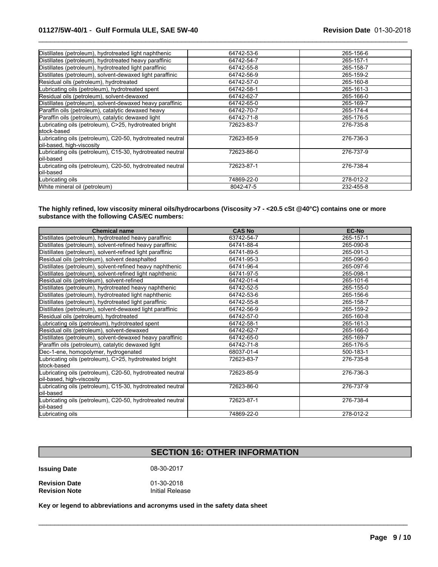| Distillates (petroleum), hydrotreated light naphthenic     | 64742-53-6 | 265-156-6 |
|------------------------------------------------------------|------------|-----------|
| Distillates (petroleum), hydrotreated heavy paraffinic     | 64742-54-7 | 265-157-1 |
| Distillates (petroleum), hydrotreated light paraffinic     | 64742-55-8 | 265-158-7 |
| Distillates (petroleum), solvent-dewaxed light paraffinic  | 64742-56-9 | 265-159-2 |
| Residual oils (petroleum), hydrotreated                    | 64742-57-0 | 265-160-8 |
| Lubricating oils (petroleum), hydrotreated spent           | 64742-58-1 | 265-161-3 |
| Residual oils (petroleum), solvent-dewaxed                 | 64742-62-7 | 265-166-0 |
| Distillates (petroleum), solvent-dewaxed heavy paraffinic  | 64742-65-0 | 265-169-7 |
| Paraffin oils (petroleum), catalytic dewaxed heavy         | 64742-70-7 | 265-174-4 |
| Paraffin oils (petroleum), catalytic dewaxed light         | 64742-71-8 | 265-176-5 |
| Lubricating oils (petroleum), C>25, hydrotreated bright    | 72623-83-7 | 276-735-8 |
| lstock-based                                               |            |           |
| Lubricating oils (petroleum), C20-50, hydrotreated neutral | 72623-85-9 | 276-736-3 |
| oil-based, high-viscosity                                  |            |           |
| Lubricating oils (petroleum), C15-30, hydrotreated neutral | 72623-86-0 | 276-737-9 |
| loil-based                                                 |            |           |
| Lubricating oils (petroleum), C20-50, hydrotreated neutral | 72623-87-1 | 276-738-4 |
| loil-based                                                 |            |           |
| Lubricating oils                                           | 74869-22-0 | 278-012-2 |
| (White mineral oil (petroleum)                             | 8042-47-5  | 232-455-8 |
|                                                            |            |           |

 $\_$  ,  $\_$  ,  $\_$  ,  $\_$  ,  $\_$  ,  $\_$  ,  $\_$  ,  $\_$  ,  $\_$  ,  $\_$  ,  $\_$  ,  $\_$  ,  $\_$  ,  $\_$  ,  $\_$  ,  $\_$  ,  $\_$  ,  $\_$  ,  $\_$  ,  $\_$  ,  $\_$  ,  $\_$  ,  $\_$  ,  $\_$  ,  $\_$  ,  $\_$  ,  $\_$  ,  $\_$  ,  $\_$  ,  $\_$  ,  $\_$  ,  $\_$  ,  $\_$  ,  $\_$  ,  $\_$  ,  $\_$  ,  $\_$  ,

# **The highly refined, low viscosity mineral oils/hydrocarbons (Viscosity >7 - <20.5 cSt @40°C) contains one or more substance with the following CAS/EC numbers:**

| <b>Chemical name</b>                                                                    | <b>CAS No</b> | <b>EC-No</b> |
|-----------------------------------------------------------------------------------------|---------------|--------------|
| Distillates (petroleum), hydrotreated heavy paraffinic                                  | 63742-54-7    | 265-157-1    |
| Distillates (petroleum), solvent-refined heavy paraffinic                               | 64741-88-4    | 265-090-8    |
| Distillates (petroleum), solvent-refined light paraffinic                               | 64741-89-5    | 265-091-3    |
| Residual oils (petroleum), solvent deasphalted                                          | 64741-95-3    | 265-096-0    |
| Distillates (petroleum), solvent-refined heavy naphthenic                               | 64741-96-4    | 265-097-6    |
| Distillates (petroleum), solvent-refined light naphthenic                               | 64741-97-5    | 265-098-1    |
| Residual oils (petroleum), solvent-refined                                              | 64742-01-4    | 265-101-6    |
| Distillates (petroleum), hydrotreated heavy naphthenic                                  | 64742-52-5    | 265-155-0    |
| Distillates (petroleum), hydrotreated light naphthenic                                  | 64742-53-6    | 265-156-6    |
| Distillates (petroleum), hydrotreated light paraffinic                                  | 64742-55-8    | 265-158-7    |
| Distillates (petroleum), solvent-dewaxed light paraffinic                               | 64742-56-9    | 265-159-2    |
| Residual oils (petroleum), hydrotreated                                                 | 64742-57-0    | 265-160-8    |
| Lubricating oils (petroleum), hydrotreated spent                                        | 64742-58-1    | 265-161-3    |
| Residual oils (petroleum), solvent-dewaxed                                              | 64742-62-7    | 265-166-0    |
| Distillates (petroleum), solvent-dewaxed heavy paraffinic                               | 64742-65-0    | 265-169-7    |
| Paraffin oils (petroleum), catalytic dewaxed light                                      | 64742-71-8    | 265-176-5    |
| Dec-1-ene, homopolymer, hydrogenated                                                    | 68037-01-4    | 500-183-1    |
| Lubricating oils (petroleum), C>25, hydrotreated bright<br>lstock-based                 | 72623-83-7    | 276-735-8    |
| Lubricating oils (petroleum), C20-50, hydrotreated neutral<br>oil-based, high-viscosity | 72623-85-9    | 276-736-3    |
| Lubricating oils (petroleum), C15-30, hydrotreated neutral<br>loil-based                | 72623-86-0    | 276-737-9    |
| Lubricating oils (petroleum), C20-50, hydrotreated neutral<br>oil-based                 | 72623-87-1    | 276-738-4    |
| Lubricating oils                                                                        | 74869-22-0    | 278-012-2    |

# **SECTION 16: OTHER INFORMATION**

 $\mathcal{L}_\mathcal{L} = \{ \mathcal{L}_\mathcal{L} = \{ \mathcal{L}_\mathcal{L} = \{ \mathcal{L}_\mathcal{L} = \{ \mathcal{L}_\mathcal{L} = \{ \mathcal{L}_\mathcal{L} = \{ \mathcal{L}_\mathcal{L} = \{ \mathcal{L}_\mathcal{L} = \{ \mathcal{L}_\mathcal{L} = \{ \mathcal{L}_\mathcal{L} = \{ \mathcal{L}_\mathcal{L} = \{ \mathcal{L}_\mathcal{L} = \{ \mathcal{L}_\mathcal{L} = \{ \mathcal{L}_\mathcal{L} = \{ \mathcal{L}_\mathcal{$ 

**Issuing Date** 08-30-2017

**Revision Date Calculation Control** Controller and During Device 101-30-2018<br> **Revision Note Calculation Control** Initial Relea **Initial Release** 

**Key or legend to abbreviations and acronyms used in the safety data sheet**